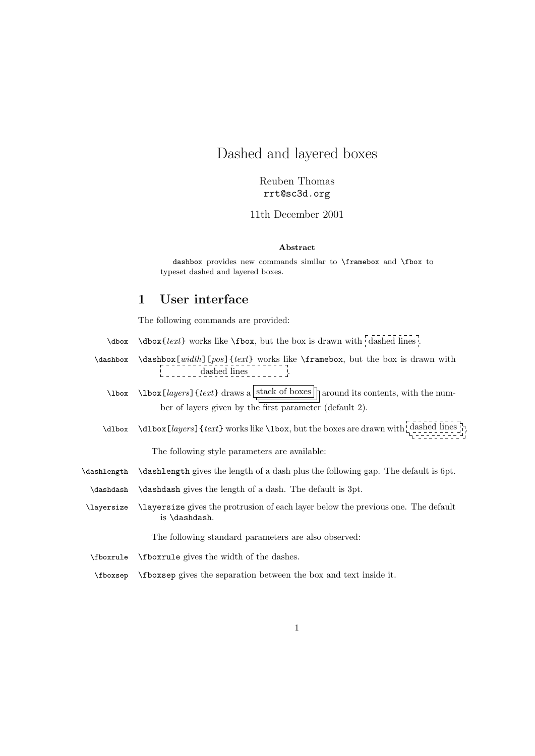# Dashed and layered boxes

Reuben Thomas rrt@sc3d.org

11th December 2001

#### Abstract

dashbox provides new commands similar to \framebox and \fbox to typeset dashed and layered boxes.

# 1 User interface

The following commands are provided:

- $\dot{\theta}$  \dbox {text} works like \fbox, but the box is drawn with dashed lines .
- \dashbox \dashbox[width][pos]{text} works like \framebox, but the box is drawn with dashed lines
	- $\ldots$  \lbox [*layers*] {*text*} draws a stack of boxes around its contents, with the number of layers given by the first parameter (default 2).
	- \dlbox \dlbox  $[layers]$  {text} works like \lbox, but the boxes are drawn with  $\frac{class}{class}$  .

The following style parameters are available:

- \dashlength \dashlength gives the length of a dash plus the following gap. The default is 6pt.
- \dashdash \dashdash gives the length of a dash. The default is 3pt.
- \layersize \layersize gives the protrusion of each layer below the previous one. The default is \dashdash.

The following standard parameters are also observed:

- \fboxrule \fboxrule gives the width of the dashes.
- \fboxsep \fboxsep gives the separation between the box and text inside it.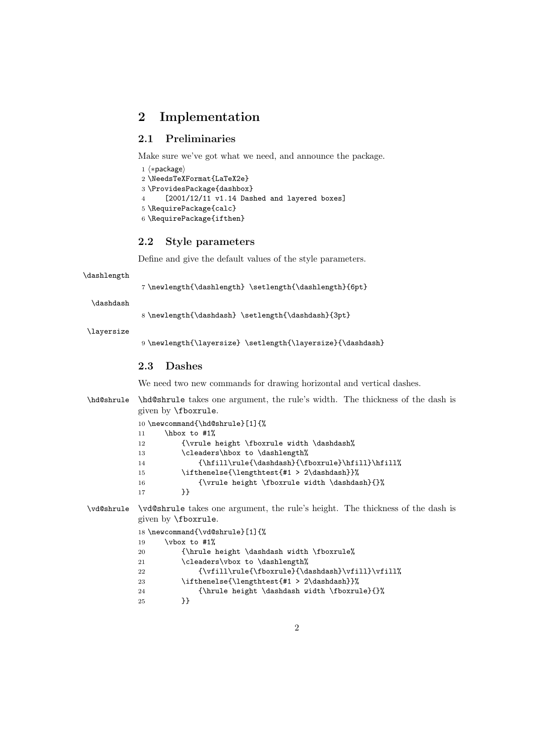# 2 Implementation

### 2.1 Preliminaries

Make sure we've got what we need, and announce the package.

```
1 (*package)
2 \NeedsTeXFormat{LaTeX2e}
3 \ProvidesPackage{dashbox}
4 [2001/12/11 v1.14 Dashed and layered boxes]
5 \RequirePackage{calc}
6 \RequirePackage{ifthen}
```
#### 2.2 Style parameters

Define and give the default values of the style parameters.

```
\dashlength
```
7 \newlength{\dashlength} \setlength{\dashlength}{6pt}

\dashdash

8 \newlength{\dashdash} \setlength{\dashdash}{3pt}

\layersize

9 \newlength{\layersize} \setlength{\layersize}{\dashdash}

#### 2.3 Dashes

We need two new commands for drawing horizontal and vertical dashes.

```
\hd@shrule \hd@shrule takes one argument, the rule's width. The thickness of the dash is
           given by \fboxrule.
           10 \newcommand{\hd@shrule}[1]{%
           11 \hbar \hbox to #1%
           12 {\vrule height \fboxrule width \dashdash%
           13 \cleaders\hbox to \dashlength%
           14 {\hfill\rule{\dashdash}{\fboxrule}\hfill}\hfill%
           15 \ifthenelse{\lengthtest{#1 > 2\dashdash}}%
           16 {\vrule{\rbrack}{0.5cm}} {\vrule height \fboxrule width \dashdash}{}%
           17 }}
\vd@shrule \vd@shrule takes one argument, the rule's height. The thickness of the dash is
           given by \fboxrule.
           18 \newcommand{\vd@shrule}[1]{%
           19 \forall vbox to #1%
```

| 20 | {\hrule height \dashdash width \fboxrule%        |
|----|--------------------------------------------------|
| 21 | \cleaders\vbox to \dashlength%                   |
| 22 | {\vfill\rule{\fboxrule}{\dashdash}\vfill}\vfill} |
| 23 | \ifthenelse{\lengthtest{#1 > 2\dashdash}}%       |
| 24 | $\{\hbox{\$ } $\$                                |
| 25 | ኑኑ                                               |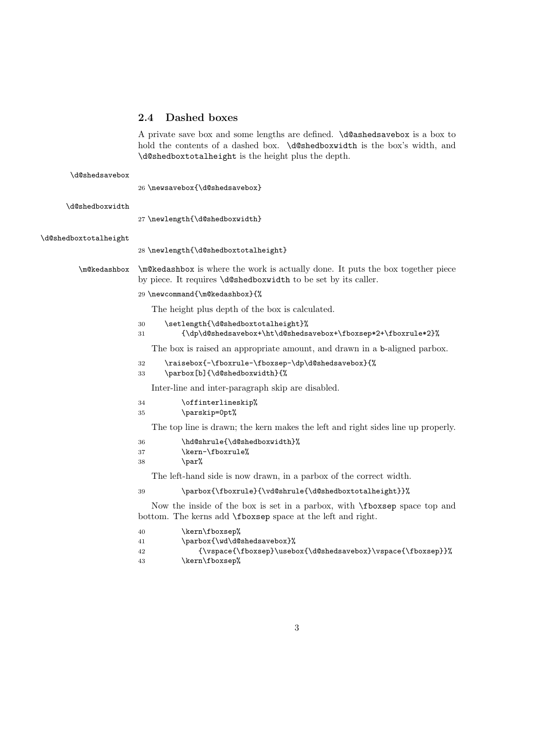# 2.4 Dashed boxes

A private save box and some lengths are defined. \d@ashedsavebox is a box to hold the contents of a dashed box. \d@shedboxwidth is the box's width, and \d@shedboxtotalheight is the height plus the depth.

| \d@shedsavebox        | 26 \newsavebox{\d@shedsavebox}                                                                                                                          |
|-----------------------|---------------------------------------------------------------------------------------------------------------------------------------------------------|
| \d@shedboxwidth       | 27 \newlength{\d@shedboxwidth}                                                                                                                          |
| \d@shedboxtotalheight | 28 \newlength{\d@shedboxtotalheight}                                                                                                                    |
| \m@kedashbox          | \m\@\medashbox is where the work is actually done. It puts the box together piece<br>by piece. It requires \d@shedboxwidth to be set by its caller.     |
|                       | 29 \newcommand{\m@kedashbox}{%                                                                                                                          |
|                       | The height plus depth of the box is calculated.                                                                                                         |
|                       | \setlength{\d@shedboxtotalheight}%<br>30<br>{\dp\d@shedsavebox+\ht\d@shedsavebox+\fboxsep*2+\fboxrule*2}%<br>31                                         |
|                       | The box is raised an appropriate amount, and drawn in a b-aligned parbox.                                                                               |
|                       | \raisebox{-\fboxrule-\fboxsep-\dp\d@shedsavebox}{%<br>32<br>\parbox[b]{\d@shedboxwidth}{%<br>33                                                         |
|                       | Inter-line and inter-paragraph skip are disabled.                                                                                                       |
|                       | \offinterlineskip%<br>34<br>\parskip=0pt%<br>35                                                                                                         |
|                       | The top line is drawn; the kern makes the left and right sides line up properly.                                                                        |
|                       | \hd@shrule{\d@shedboxwidth}%<br>36<br>\kern-\fboxrule%<br>37<br>\par%<br>38                                                                             |
|                       | The left-hand side is now drawn, in a parbox of the correct width.                                                                                      |
|                       | \parbox{\fboxrule}{\vd@shrule{\d@shedboxtotalheight}}%<br>39                                                                                            |
|                       | Now the inside of the box is set in a parbox, with <b>fboxsep</b> space top and<br>bottom. The kerns add <b>\fboxsep</b> space at the left and right.   |
|                       | \kern\fboxsep%<br>40<br>\parbox{\wd\d@shedsavebox}%<br>41<br>{\vspace{\fboxsep}\usebox{\d@shedsavebox}\vspace{\fboxsep}}%<br>42<br>\kern\fboxsep%<br>43 |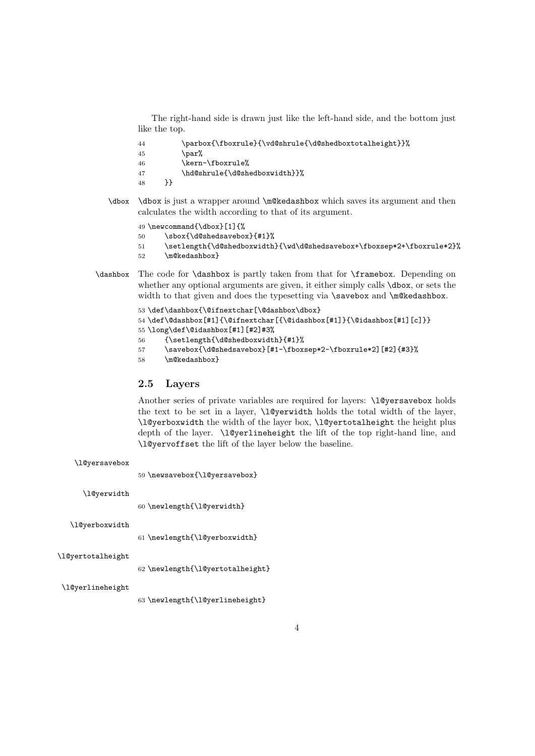The right-hand side is drawn just like the left-hand side, and the bottom just like the top.

| 44  | \parbox{\fboxrule}{\vd@shrule{\d@shedboxtotalheight}}% |
|-----|--------------------------------------------------------|
| 45  | \par%                                                  |
| -46 | \kern-\fboxrule%                                       |
| 47  | \hd@shrule{\d@shedboxwidth}}%                          |
| 48  |                                                        |

\dbox \dbox is just a wrapper around \m@kedashbox which saves its argument and then calculates the width according to that of its argument.

49 \newcommand{\dbox}[1]{%

```
50 \sbox{\d@shedsavebox}{#1}%
```

```
51 \setlength{\d@shedboxwidth}{\wd\d@shedsavebox+\fboxsep*2+\fboxrule*2}%
```

```
52 \m@kedashbox}
```
\dashbox The code for \dashbox is partly taken from that for \framebox. Depending on whether any optional arguments are given, it either simply calls  $\dot{\theta}$  and  $\dot{\theta}$  or sets the width to that given and does the typesetting via \savebox and \m@kedashbox.

```
53 \def\dashbox{\@ifnextchar[\@dashbox\dbox}
54 \def\@dashbox[#1]{\@ifnextchar[{\@idashbox[#1]}{\@idashbox[#1][c]}}
55 \long\def\@idashbox[#1][#2]#3%
56 {\setlength{\d@shedboxwidth}{#1}%
57 \savebox{\d@shedsavebox}[#1-\fboxsep*2-\fboxrule*2][#2]{#3}%
```

```
58 \m@kedashbox}
```
## 2.5 Layers

Another series of private variables are required for layers: \1@yersavebox holds the text to be set in a layer, *\l@yerwidth holds the total width of the layer*, \l@yerboxwidth the width of the layer box, \l@yertotalheight the height plus depth of the layer. \l@yerlineheight the lift of the top right-hand line, and \l@yervoffset the lift of the layer below the baseline.

| \l@yersavebox     | 59 \newsavebox{\l@yersavebox}    |
|-------------------|----------------------------------|
| \l@yerwidth       | 60 \newlength{\l@yerwidth}       |
| \l@yerboxwidth    | 61 \newlength{\l@yerboxwidth}    |
| \l@yertotalheight | 62 \newlength{\l@yertotalheight} |
| \l@yerlineheight  |                                  |

63 \newlength{\l@yerlineheight}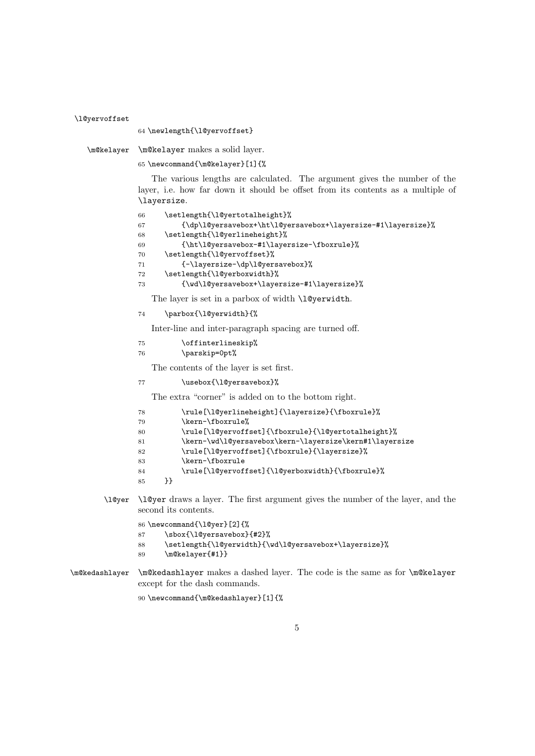```
\l@yervoffset
               64 \newlength{\l@yervoffset}
   \m@kelayer \m@kelayer makes a solid layer.
               65 \newcommand{\m@kelayer}[1]{%
                  The various lengths are calculated. The argument gives the number of the
               layer, i.e. how far down it should be offset from its contents as a multiple of
               \layersize.
               66 \setlength{\l@yertotalheight}%
               67 {\dp\l@yersavebox+\ht\l@yersavebox+\layersize-#1\layersize}%
               68 \setlength{\l@yerlineheight}%
               69 {\ht\l@yersavebox-#1\layersize-\fboxrule}%
               70 \setlength{\l@yervoffset}%
               71 {-\layersize-\dp\l@yersavebox}%
               72 \setlength{\l@yerboxwidth}%
               73 {\wd\l@yersavebox+\layersize-#1\layersize}%
                 The layer is set in a parbox of width \l@yerwidth.
               74 \parbox{\l@yerwidth}{%
                  Inter-line and inter-paragraph spacing are turned off.
               75 \offinterlineskip%
               76 \parskip=0pt%
                  The contents of the layer is set first.
               77 \usebox{\l@yersavebox}%
                  The extra "corner" is added on to the bottom right.
               78 \rule[\l@yerlineheight]{\layersize}{\fboxrule}%
               79 \kern-\fboxrule%
               80 \rule[\l@yervoffset]{\fboxrule}{\l@yertotalheight}%
               81 \kern-\wd\l@yersavebox\kern-\layersize\kern#1\layersize
               82 \rule[\l@yervoffset]{\fboxrule}{\layersize}%
               83 \kern-\fboxrule
               84 \rule[\l@yervoffset]{\l@yerboxwidth}{\fboxrule}%
               85 }}
       \l@yer \l@yer draws a layer. The first argument gives the number of the layer, and the
               second its contents.
               86 \newcommand{\l@yer}[2]{%
               87 \sbox{\l@yersavebox}{#2}%
               88 \setlength{\l@yerwidth}{\wd\l@yersavebox+\layersize}%
               89 \m@kelayer{#1}}
\m@kedashlayer \m@kedashlayer makes a dashed layer. The code is the same as for \m@kelayer
               except for the dash commands.
               90 \newcommand{\m@kedashlayer}[1]{%
```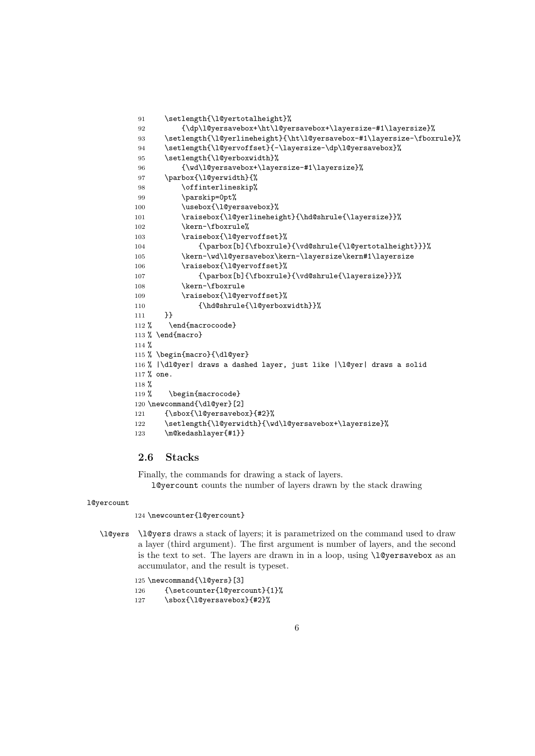```
91 \setlength{\l@yertotalheight}%
92 {\dp\l@yersavebox+\ht\l@yersavebox+\layersize-#1\layersize}%
93 \setlength{\l@yerlineheight}{\ht\l@yersavebox-#1\layersize-\fboxrule}%
94 \setlength{\l@yervoffset}{-\layersize-\dp\l@yersavebox}%
95 \setlength{\l@yerboxwidth}%
96 {\wd\l@yersavebox+\layersize-#1\layersize}%
97 \parbox{\l@yerwidth}{%
98 \offinterlineskip%
99 \parskip=0pt%
100 \usebox{\l@yersavebox}%
101 \raisebox{\l@yerlineheight}{\hd@shrule{\layersize}}%
102 \kern-\fboxrule%
103 \raisebox{\l@yervoffset}%
104 {\parbox[b]{\fboxrule}{\vd@shrule{\l@yertotalheight}}}%
105 \kern-\wd\l@yersavebox\kern-\layersize\kern#1\layersize
106 \raisebox{\l@yervoffset}%
107 {\parbox[b]{\fboxrule}{\vd@shrule{\layersize}}}%
108 \kern-\fboxrule
109 \raisebox{\l@yervoffset}%
110 {\hd@shrule{\l@yerboxwidth}}%
111 }}
112 % \end{macrocoode}
113 % \end{macro}
114 %
115 % \begin{macro}{\dl@yer}
116 % |\dl@yer| draws a dashed layer, just like |\l@yer| draws a solid
117 % one.
118 %
119 % \begin{macrocode}
120 \newcommand{\dl@yer}[2]
121 {\sbox{\l@yersavebox}{#2}%
122 \setlength{\l@yerwidth}{\wd\l@yersavebox+\layersize}%
123 \m@kedashlayer{#1}}
```
# 2.6 Stacks

Finally, the commands for drawing a stack of layers. l@yercount counts the number of layers drawn by the stack drawing

#### l@yercount

124 \newcounter{l@yercount}

\l@yers \l@yers draws a stack of layers; it is parametrized on the command used to draw a layer (third argument). The first argument is number of layers, and the second is the text to set. The layers are drawn in in a loop, using \l@yersavebox as an accumulator, and the result is typeset.

```
125 \newcommand{\l@yers}[3]
126 {\setcounter{l@yercount}{1}%
127 \sbox{\l@yersavebox}{#2}%
```